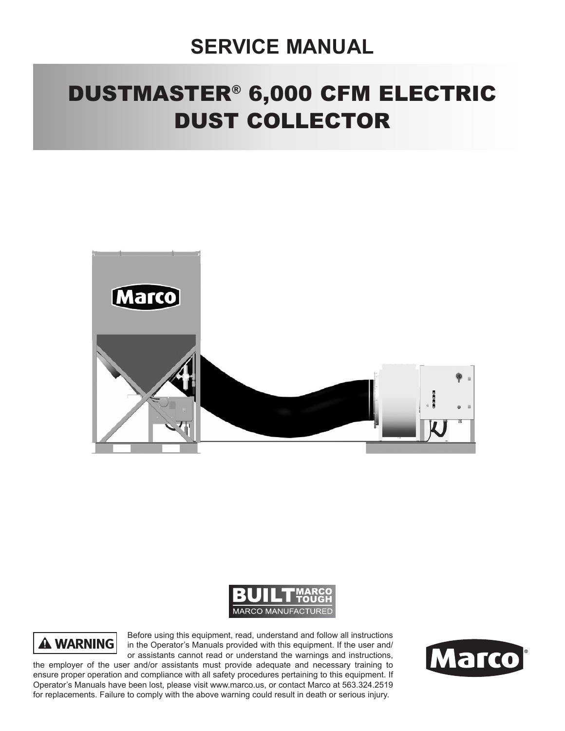## **SERVICE MANUAL**

# DUSTMASTER® 6,000 CFM ELECTRIC DUST COLLECTOR







Before using this equipment, read, understand and follow all instructions in the Operator's Manuals provided with this equipment. If the user and/ or assistants cannot read or understand the warnings and instructions,

the employer of the user and/or assistants must provide adequate and necessary training to ensure proper operation and compliance with all safety procedures pertaining to this equipment. If Operator's Manuals have been lost, please visit www.marco.us, or contact Marco at 563.324.2519 for replacements. Failure to comply with the above warning could result in death or serious injury.

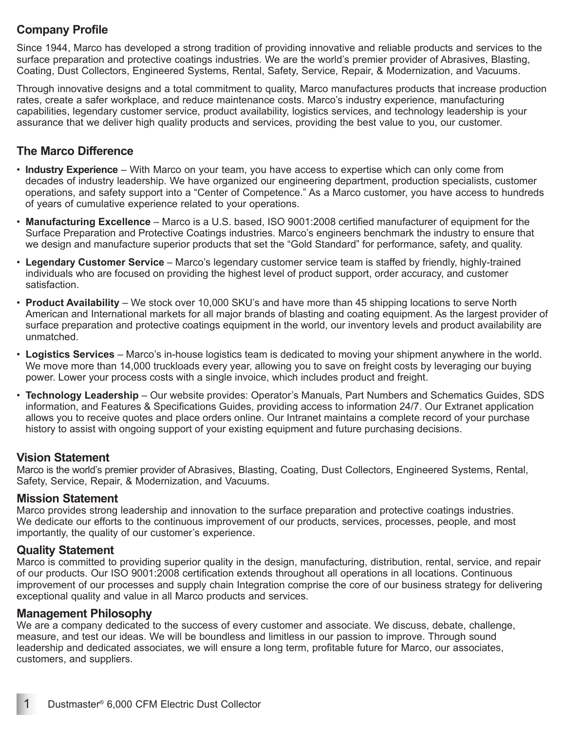#### **Company Profile**

Since 1944, Marco has developed a strong tradition of providing innovative and reliable products and services to the surface preparation and protective coatings industries. We are the world's premier provider of Abrasives, Blasting, Coating, Dust Collectors, Engineered Systems, Rental, Safety, Service, Repair, & Modernization, and Vacuums.

Through innovative designs and a total commitment to quality, Marco manufactures products that increase production rates, create a safer workplace, and reduce maintenance costs. Marco's industry experience, manufacturing capabilities, legendary customer service, product availability, logistics services, and technology leadership is your assurance that we deliver high quality products and services, providing the best value to you, our customer.

#### **The Marco Difference**

- **Industry Experience** With Marco on your team, you have access to expertise which can only come from decades of industry leadership. We have organized our engineering department, production specialists, customer operations, and safety support into a "Center of Competence." As a Marco customer, you have access to hundreds of years of cumulative experience related to your operations.
- **Manufacturing Excellence** Marco is a U.S. based, ISO 9001:2008 certified manufacturer of equipment for the Surface Preparation and Protective Coatings industries. Marco's engineers benchmark the industry to ensure that we design and manufacture superior products that set the "Gold Standard" for performance, safety, and quality.
- **Legendary Customer Service** Marco's legendary customer service team is staffed by friendly, highly-trained individuals who are focused on providing the highest level of product support, order accuracy, and customer satisfaction.
- **Product Availability** We stock over 10,000 SKU's and have more than 45 shipping locations to serve North American and International markets for all major brands of blasting and coating equipment. As the largest provider of surface preparation and protective coatings equipment in the world, our inventory levels and product availability are unmatched.
- **Logistics Services** Marco's in-house logistics team is dedicated to moving your shipment anywhere in the world. We move more than 14,000 truckloads every year, allowing you to save on freight costs by leveraging our buying power. Lower your process costs with a single invoice, which includes product and freight.
- **Technology Leadership** Our website provides: Operator's Manuals, Part Numbers and Schematics Guides, SDS information, and Features & Specifications Guides, providing access to information 24/7. Our Extranet application allows you to receive quotes and place orders online. Our Intranet maintains a complete record of your purchase history to assist with ongoing support of your existing equipment and future purchasing decisions.

#### **Vision Statement**

Marco is the world's premier provider of Abrasives, Blasting, Coating, Dust Collectors, Engineered Systems, Rental, Safety, Service, Repair, & Modernization, and Vacuums.

#### **Mission Statement**

Marco provides strong leadership and innovation to the surface preparation and protective coatings industries. We dedicate our efforts to the continuous improvement of our products, services, processes, people, and most importantly, the quality of our customer's experience.

#### **Quality Statement**

Marco is committed to providing superior quality in the design, manufacturing, distribution, rental, service, and repair of our products. Our ISO 9001:2008 certification extends throughout all operations in all locations. Continuous improvement of our processes and supply chain Integration comprise the core of our business strategy for delivering exceptional quality and value in all Marco products and services.

#### **Management Philosophy**

We are a company dedicated to the success of every customer and associate. We discuss, debate, challenge, measure, and test our ideas. We will be boundless and limitless in our passion to improve. Through sound leadership and dedicated associates, we will ensure a long term, profitable future for Marco, our associates, customers, and suppliers.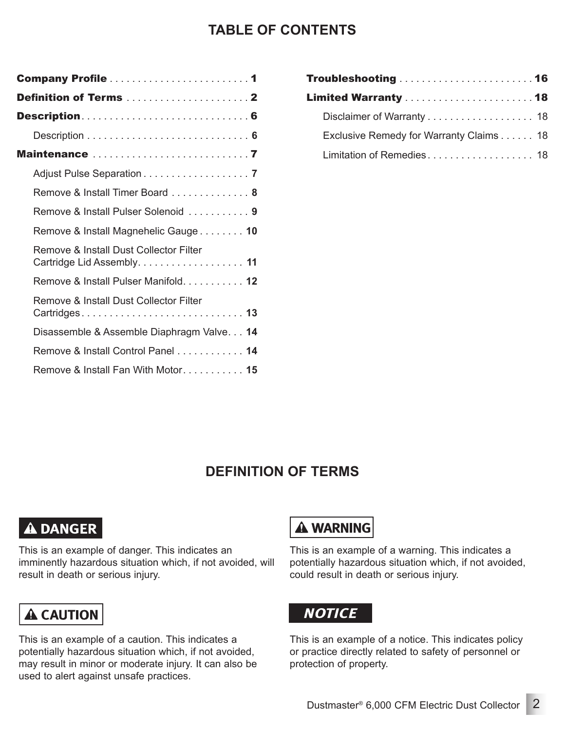### **TABLE OF CONTENTS**

| <b>Maintenance</b> 7                                                 |
|----------------------------------------------------------------------|
| Adjust Pulse Separation 7                                            |
| Remove & Install Timer Board 8                                       |
| Remove & Install Pulser Solenoid  9                                  |
| Remove & Install Magnehelic Gauge 10                                 |
| Remove & Install Dust Collector Filter<br>Cartridge Lid Assembly. 11 |
| Remove & Install Pulser Manifold. 12                                 |
| Remove & Install Dust Collector Filter                               |
| Disassemble & Assemble Diaphragm Valve 14                            |
| Remove & Install Control Panel 14                                    |
| Remove & Install Fan With Motor 15                                   |
|                                                                      |

| Troubleshooting  16                     |  |
|-----------------------------------------|--|
|                                         |  |
|                                         |  |
| Exclusive Remedy for Warranty Claims 18 |  |
| Limitation of Remedies 18               |  |
|                                         |  |

### **DEFINITION OF TERMS**

### **A DANGER**

This is an example of danger. This indicates an imminently hazardous situation which, if not avoided, will result in death or serious injury.

## **A CAUTION**

This is an example of a caution. This indicates a potentially hazardous situation which, if not avoided, may result in minor or moderate injury. It can also be used to alert against unsafe practices.

## **A WARNING**

This is an example of a warning. This indicates a potentially hazardous situation which, if not avoided, could result in death or serious injury.

## **NOTICE**

This is an example of a notice. This indicates policy or practice directly related to safety of personnel or protection of property.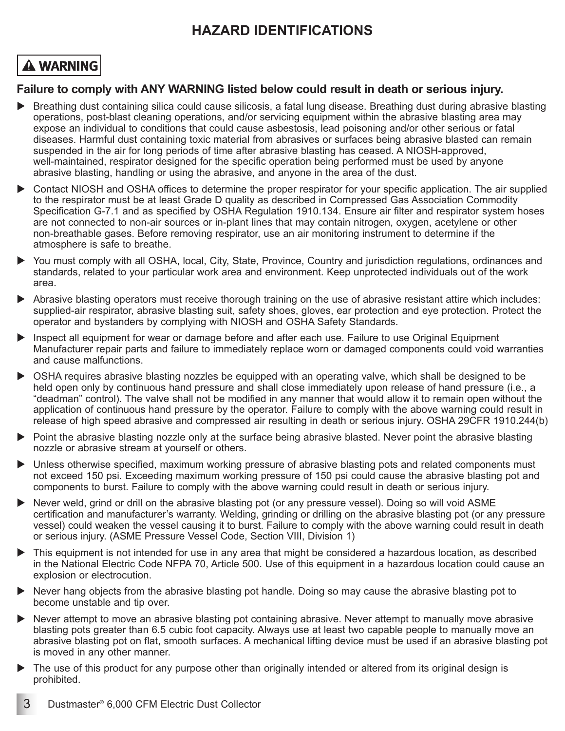### **HAZARD IDENTIFICATIONS**

## **A WARNING**

#### **Failure to comply with ANY WARNING listed below could result in death or serious injury.**

- Breathing dust containing silica could cause silicosis, a fatal lung disease. Breathing dust during abrasive blasting operations, post-blast cleaning operations, and/or servicing equipment within the abrasive blasting area may expose an individual to conditions that could cause asbestosis, lead poisoning and/or other serious or fatal diseases. Harmful dust containing toxic material from abrasives or surfaces being abrasive blasted can remain suspended in the air for long periods of time after abrasive blasting has ceased. A NIOSH-approved, well-maintained, respirator designed for the specific operation being performed must be used by anyone abrasive blasting, handling or using the abrasive, and anyone in the area of the dust.
- Contact NIOSH and OSHA offices to determine the proper respirator for your specific application. The air supplied to the respirator must be at least Grade D quality as described in Compressed Gas Association Commodity Specification G-7.1 and as specified by OSHA Regulation 1910.134. Ensure air filter and respirator system hoses are not connected to non-air sources or in-plant lines that may contain nitrogen, oxygen, acetylene or other non-breathable gases. Before removing respirator, use an air monitoring instrument to determine if the atmosphere is safe to breathe.
- You must comply with all OSHA, local, City, State, Province, Country and jurisdiction regulations, ordinances and standards, related to your particular work area and environment. Keep unprotected individuals out of the work area.
- Abrasive blasting operators must receive thorough training on the use of abrasive resistant attire which includes: supplied-air respirator, abrasive blasting suit, safety shoes, gloves, ear protection and eye protection. Protect the operator and bystanders by complying with NIOSH and OSHA Safety Standards.
- Inspect all equipment for wear or damage before and after each use. Failure to use Original Equipment Manufacturer repair parts and failure to immediately replace worn or damaged components could void warranties and cause malfunctions.
- OSHA requires abrasive blasting nozzles be equipped with an operating valve, which shall be designed to be held open only by continuous hand pressure and shall close immediately upon release of hand pressure (i.e., a "deadman" control). The valve shall not be modified in any manner that would allow it to remain open without the application of continuous hand pressure by the operator. Failure to comply with the above warning could result in release of high speed abrasive and compressed air resulting in death or serious injury. OSHA 29CFR 1910.244(b)
- Point the abrasive blasting nozzle only at the surface being abrasive blasted. Never point the abrasive blasting nozzle or abrasive stream at yourself or others.
- Unless otherwise specified, maximum working pressure of abrasive blasting pots and related components must not exceed 150 psi. Exceeding maximum working pressure of 150 psi could cause the abrasive blasting pot and components to burst. Failure to comply with the above warning could result in death or serious injury.
- Never weld, grind or drill on the abrasive blasting pot (or any pressure vessel). Doing so will void ASME certification and manufacturer's warranty. Welding, grinding or drilling on the abrasive blasting pot (or any pressure vessel) could weaken the vessel causing it to burst. Failure to comply with the above warning could result in death or serious injury. (ASME Pressure Vessel Code, Section VIII, Division 1)
- This equipment is not intended for use in any area that might be considered a hazardous location, as described in the National Electric Code NFPA 70, Article 500. Use of this equipment in a hazardous location could cause an explosion or electrocution.
- Never hang objects from the abrasive blasting pot handle. Doing so may cause the abrasive blasting pot to become unstable and tip over.
- ▶ Never attempt to move an abrasive blasting pot containing abrasive. Never attempt to manually move abrasive blasting pots greater than 6.5 cubic foot capacity. Always use at least two capable people to manually move an abrasive blasting pot on flat, smooth surfaces. A mechanical lifting device must be used if an abrasive blasting pot is moved in any other manner.
- ▶ The use of this product for any purpose other than originally intended or altered from its original design is prohibited.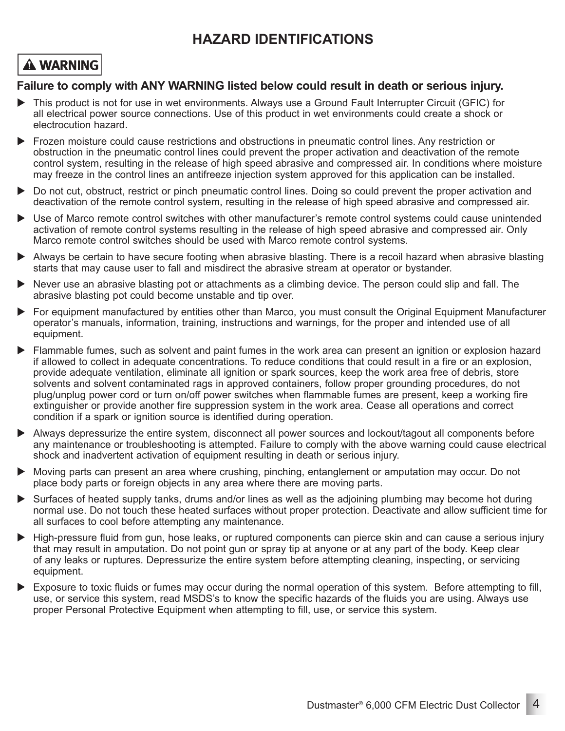### **HAZARD IDENTIFICATIONS**

### **A WARNING**

#### **Failure to comply with ANY WARNING listed below could result in death or serious injury.**

- This product is not for use in wet environments. Always use a Ground Fault Interrupter Circuit (GFIC) for all electrical power source connections. Use of this product in wet environments could create a shock or electrocution hazard.
- Frozen moisture could cause restrictions and obstructions in pneumatic control lines. Any restriction or obstruction in the pneumatic control lines could prevent the proper activation and deactivation of the remote control system, resulting in the release of high speed abrasive and compressed air. In conditions where moisture may freeze in the control lines an antifreeze injection system approved for this application can be installed.
- Do not cut, obstruct, restrict or pinch pneumatic control lines. Doing so could prevent the proper activation and deactivation of the remote control system, resulting in the release of high speed abrasive and compressed air.
- Use of Marco remote control switches with other manufacturer's remote control systems could cause unintended activation of remote control systems resulting in the release of high speed abrasive and compressed air. Only Marco remote control switches should be used with Marco remote control systems.
- Always be certain to have secure footing when abrasive blasting. There is a recoil hazard when abrasive blasting starts that may cause user to fall and misdirect the abrasive stream at operator or bystander.
- Never use an abrasive blasting pot or attachments as a climbing device. The person could slip and fall. The abrasive blasting pot could become unstable and tip over.
- For equipment manufactured by entities other than Marco, you must consult the Original Equipment Manufacturer operator's manuals, information, training, instructions and warnings, for the proper and intended use of all equipment.
- Flammable fumes, such as solvent and paint fumes in the work area can present an ignition or explosion hazard if allowed to collect in adequate concentrations. To reduce conditions that could result in a fire or an explosion, provide adequate ventilation, eliminate all ignition or spark sources, keep the work area free of debris, store solvents and solvent contaminated rags in approved containers, follow proper grounding procedures, do not plug/unplug power cord or turn on/off power switches when flammable fumes are present, keep a working fire extinguisher or provide another fire suppression system in the work area. Cease all operations and correct condition if a spark or ignition source is identified during operation.
- Always depressurize the entire system, disconnect all power sources and lockout/tagout all components before any maintenance or troubleshooting is attempted. Failure to comply with the above warning could cause electrical shock and inadvertent activation of equipment resulting in death or serious injury.
- Moving parts can present an area where crushing, pinching, entanglement or amputation may occur. Do not place body parts or foreign objects in any area where there are moving parts.
- Surfaces of heated supply tanks, drums and/or lines as well as the adjoining plumbing may become hot during normal use. Do not touch these heated surfaces without proper protection. Deactivate and allow sufficient time for all surfaces to cool before attempting any maintenance.
- High-pressure fluid from gun, hose leaks, or ruptured components can pierce skin and can cause a serious injury that may result in amputation. Do not point gun or spray tip at anyone or at any part of the body. Keep clear of any leaks or ruptures. Depressurize the entire system before attempting cleaning, inspecting, or servicing equipment.
- Exposure to toxic fluids or fumes may occur during the normal operation of this system. Before attempting to fill, use, or service this system, read MSDS's to know the specific hazards of the fluids you are using. Always use proper Personal Protective Equipment when attempting to fill, use, or service this system.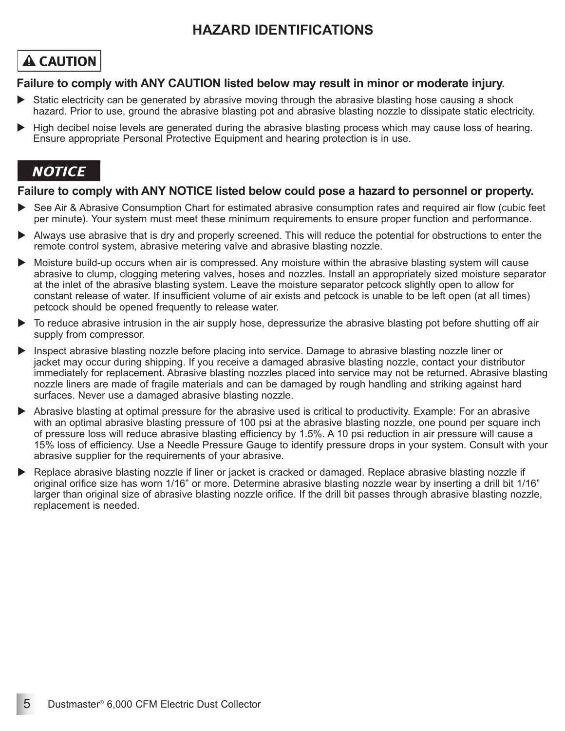### **HAZARD IDENTIFICATIONS**

## **A CAUTION**

#### **Failure to comply with ANY CAUTION listed below may result in minor or moderate injury.**

- Static electricity can be generated by abrasive moving through the abrasive blasting hose causing a shock hazard. Prior to use, ground the abrasive blasting pot and abrasive blasting nozzle to dissipate static electricity.
- High decibel noise levels are generated during the abrasive blasting process which may cause loss of hearing. Ensure appropriate Personal Protective Equipment and hearing protection is in use.

### **NOTICE**

#### **Failure to comply with ANY NOTICE listed below could pose a hazard to personnel or property.**

- See Air & Abrasive Consumption Chart for estimated abrasive consumption rates and required air flow (cubic feet per minute). Your system must meet these minimum requirements to ensure proper function and performance.
- Always use abrasive that is dry and properly screened. This will reduce the potential for obstructions to enter the remote control system, abrasive metering valve and abrasive blasting nozzle.
- Moisture build-up occurs when air is compressed. Any moisture within the abrasive blasting system will cause abrasive to clump, clogging metering valves, hoses and nozzles. Install an appropriately sized moisture separator at the inlet of the abrasive blasting system. Leave the moisture separator petcock slightly open to allow for constant release of water. If insufficient volume of air exists and petcock is unable to be left open (at all times) petcock should be opened frequently to release water.
- To reduce abrasive intrusion in the air supply hose, depressurize the abrasive blasting pot before shutting off air supply from compressor.
- Inspect abrasive blasting nozzle before placing into service. Damage to abrasive blasting nozzle liner or jacket may occur during shipping. If you receive a damaged abrasive blasting nozzle, contact your distributor immediately for replacement. Abrasive blasting nozzles placed into service may not be returned. Abrasive blasting nozzle liners are made of fragile materials and can be damaged by rough handling and striking against hard surfaces. Never use a damaged abrasive blasting nozzle.
- Abrasive blasting at optimal pressure for the abrasive used is critical to productivity. Example: For an abrasive with an optimal abrasive blasting pressure of 100 psi at the abrasive blasting nozzle, one pound per square inch of pressure loss will reduce abrasive blasting efficiency by 1.5%. A 10 psi reduction in air pressure will cause a 15% loss of efficiency. Use a Needle Pressure Gauge to identify pressure drops in your system. Consult with your abrasive supplier for the requirements of your abrasive.
- Replace abrasive blasting nozzle if liner or jacket is cracked or damaged. Replace abrasive blasting nozzle if original orifice size has worn 1/16" or more. Determine abrasive blasting nozzle wear by inserting a drill bit 1/16" larger than original size of abrasive blasting nozzle orifice. If the drill bit passes through abrasive blasting nozzle, replacement is needed.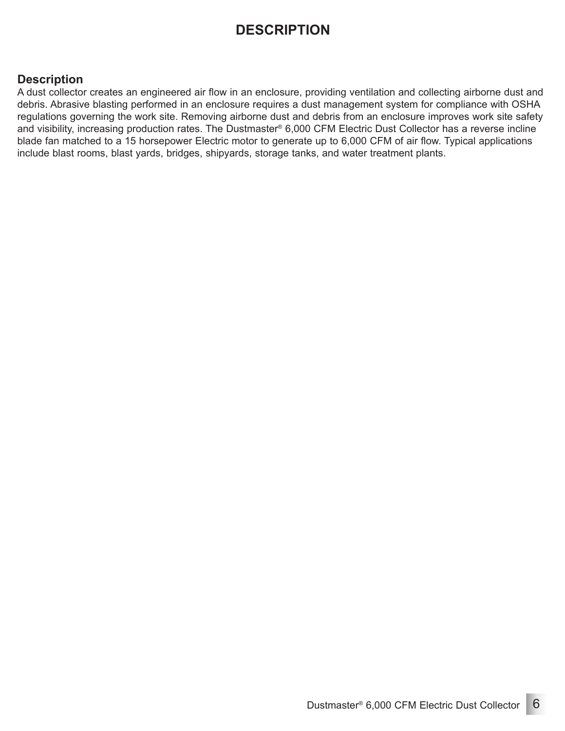### **DESCRIPTION**

#### **Description**

A dust collector creates an engineered air flow in an enclosure, providing ventilation and collecting airborne dust and debris. Abrasive blasting performed in an enclosure requires a dust management system for compliance with OSHA regulations governing the work site. Removing airborne dust and debris from an enclosure improves work site safety and visibility, increasing production rates. The Dustmaster® 6,000 CFM Electric Dust Collector has a reverse incline blade fan matched to a 15 horsepower Electric motor to generate up to 6,000 CFM of air flow. Typical applications include blast rooms, blast yards, bridges, shipyards, storage tanks, and water treatment plants.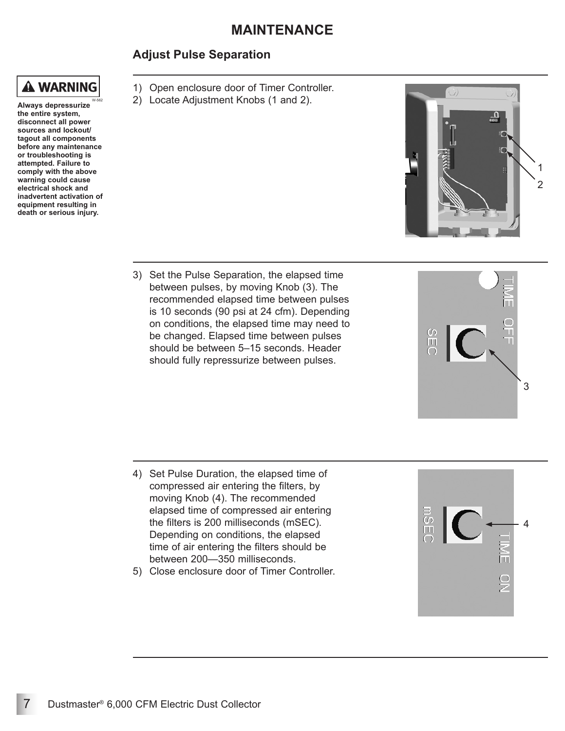#### **Adjust Pulse Separation**

**A WARNING** 

**Always depressurize the entire system, disconnect all power sources and lockout/ tagout all components before any maintenance or troubleshooting is attempted. Failure to comply with the above warning could cause electrical shock and inadvertent activation of equipment resulting in death or serious injury.** W-562

- 1) Open enclosure door of Timer Controller.
- 2) Locate Adjustment Knobs (1 and 2).



SEC

3) Set the Pulse Separation, the elapsed time between pulses, by moving Knob (3). The recommended elapsed time between pulses is 10 seconds (90 psi at 24 cfm). Depending on conditions, the elapsed time may need to be changed. Elapsed time between pulses should be between 5–15 seconds. Header should fully repressurize between pulses.

- 4) Set Pulse Duration, the elapsed time of compressed air entering the filters, by moving Knob (4). The recommended elapsed time of compressed air entering the filters is 200 milliseconds (mSEC). Depending on conditions, the elapsed time of air entering the filters should be between 200—350 milliseconds.
- 5) Close enclosure door of Timer Controller.



3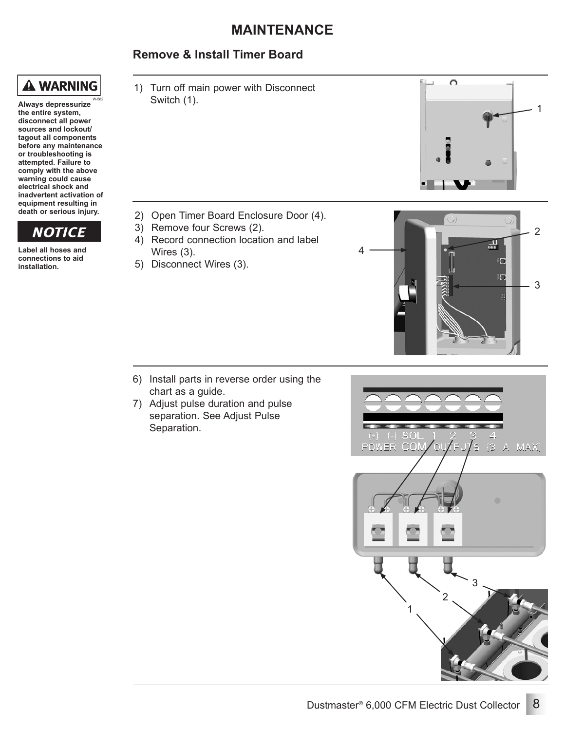#### **Remove & Install Timer Board**



**Always depressurize the entire system, disconnect all power sources and lockout/ tagout all components before any maintenance or troubleshooting is attempted. Failure to comply with the above warning could cause electrical shock and inadvertent activation of equipment resulting in death or serious injury.** W-562

## **NOTICE**

**Label all hoses and connections to aid installation.**

1) Turn off main power with Disconnect Switch (1).

- 2) Open Timer Board Enclosure Door (4).
- 3) Remove four Screws (2).
- 4) Record connection location and label Wires (3).
- 5) Disconnect Wires (3).



 $\Omega$ 

1

- 6) Install parts in reverse order using the chart as a guide.
- 7) Adjust pulse duration and pulse separation. See Adjust Pulse Separation.

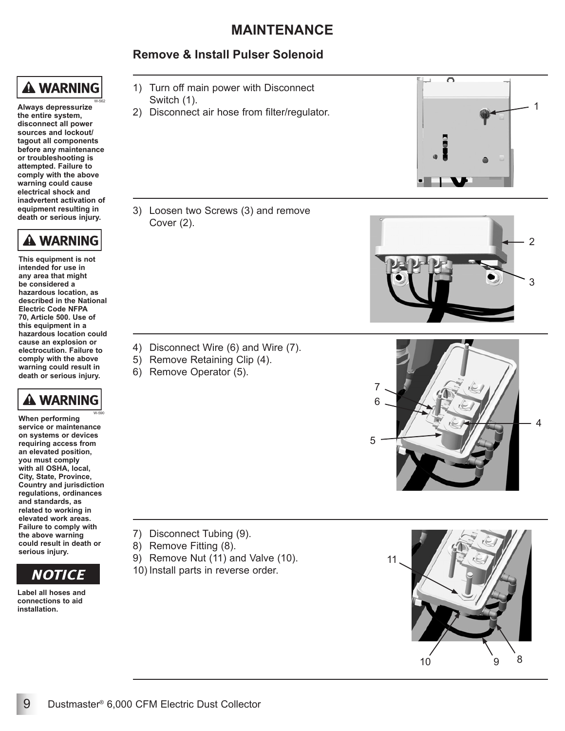#### **Remove & Install Pulser Solenoid**

## **A WARNING**

**Always depressurize the entire system, disconnect all power sources and lockout/ tagout all components before any maintenance or troubleshooting is attempted. Failure to comply with the above warning could cause electrical shock and inadvertent activation of equipment resulting in death or serious injury.** W-562



**This equipment is not intended for use in any area that might be considered a hazardous location, as described in the National Electric Code NFPA 70, Article 500. Use of this equipment in a hazardous location could cause an explosion or electrocution. Failure to comply with the above warning could result in death or serious injury.**



**When performing service or maintenance on systems or devices requiring access from an elevated position, you must comply with all OSHA, local, City, State, Province, Country and jurisdiction regulations, ordinances and standards, as related to working in elevated work areas. Failure to comply with the above warning could result in death or serious injury.** W-590



**Label all hoses and connections to aid installation.**

- 1) Turn off main power with Disconnect Switch (1).
- 2) Disconnect air hose from filter/regulator.

3) Loosen two Screws (3) and remove Cover (2).

- 4) Disconnect Wire (6) and Wire (7).
- 5) Remove Retaining Clip (4).
- 6) Remove Operator (5).

- 7) Disconnect Tubing (9).
- 8) Remove Fitting (8).
- 9) Remove Nut (11) and Valve (10).
- 10) Install parts in reverse order.







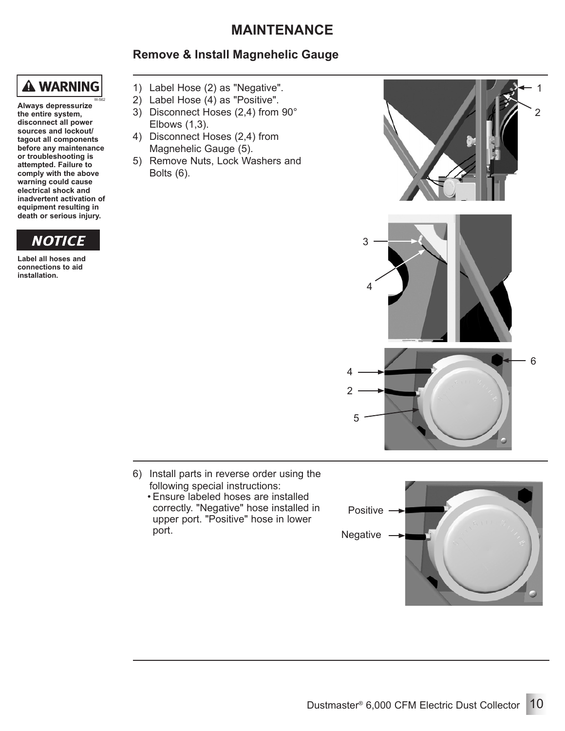#### **Remove & Install Magnehelic Gauge**



**Always depressurize the entire system, disconnect all power sources and lockout/ tagout all components before any maintenance or troubleshooting is attempted. Failure to comply with the above warning could cause electrical shock and inadvertent activation of equipment resulting in death or serious injury.** W-562



**Label all hoses and connections to aid installation.**

- 1) Label Hose (2) as "Negative".
- 2) Label Hose (4) as "Positive".
- 3) Disconnect Hoses (2,4) from 90° Elbows (1,3).
- 4) Disconnect Hoses (2,4) from Magnehelic Gauge (5).
- 5) Remove Nuts, Lock Washers and Bolts (6).



- 6) Install parts in reverse order using the following special instructions:
	- Ensure labeled hoses are installed correctly. "Negative" hose installed in upper port. "Positive" hose in lower<br>port.

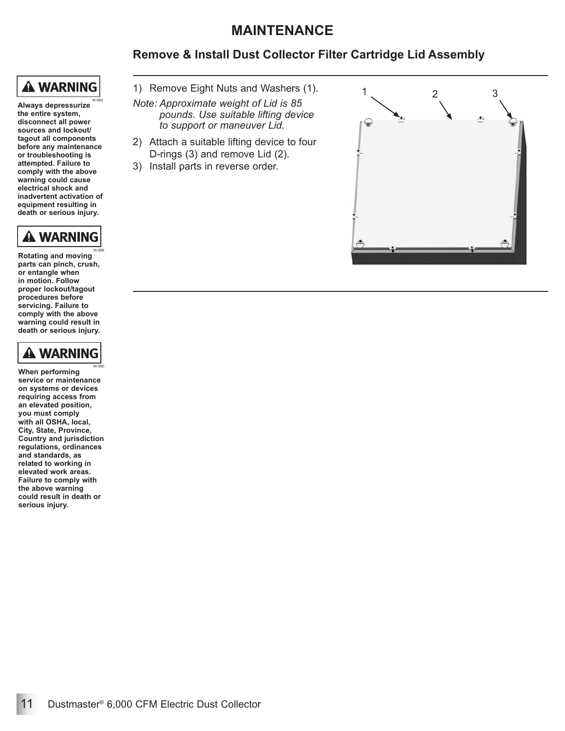#### **Remove & Install Dust Collector Filter Cartridge Lid Assembly**

## **A WARNING**

**Always depressurize the entire system, disconnect all power sources and lockout/ tagout all components before any maintenance or troubleshooting is attempted. Failure to comply with the above warning could cause electrical shock and inadvertent activation of equipment resulting in death or serious injury.** W-562



**Rotating and moving parts can pinch, crush, or entangle when in motion. Follow proper lockout/tagout procedures before servicing. Failure to comply with the above warning could result in death or serious injury.** W-586



W-590

**When performing service or maintenance on systems or devices requiring access from an elevated position, you must comply with all OSHA, local, City, State, Province, Country and jurisdiction regulations, ordinances and standards, as related to working in elevated work areas. Failure to comply with the above warning could result in death or serious injury.**

- 1) Remove Eight Nuts and Washers (1).
- *Note: Approximate weight of Lid is 85 pounds. Use suitable lifting device to support or maneuver Lid.*
- 2) Attach a suitable lifting device to four D-rings (3) and remove Lid (2).
- 3) Install parts in reverse order.

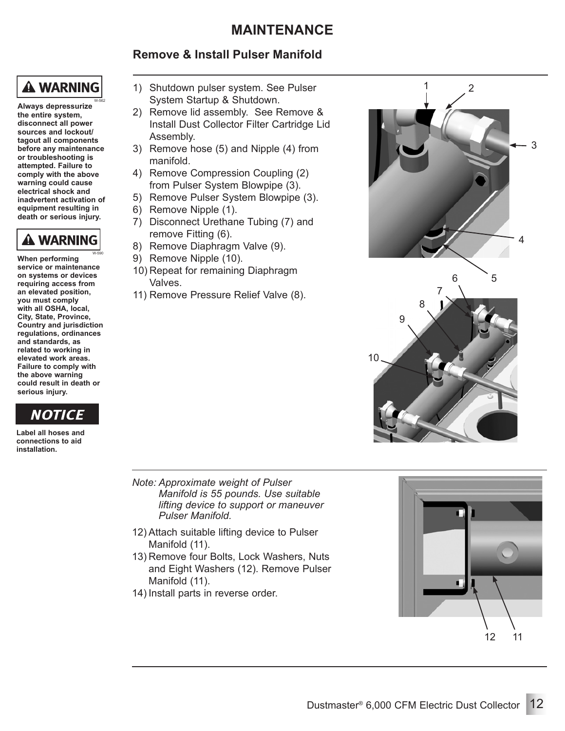### **Remove & Install Pulser Manifold**

## **A WARNING**

**Always depressurize the entire system, disconnect all power sources and lockout/ tagout all components before any maintenance or troubleshooting is attempted. Failure to comply with the above warning could cause electrical shock and inadvertent activation of equipment resulting in death or serious injury.** W-562



**When performing service or maintenance on systems or devices requiring access from an elevated position, you must comply with all OSHA, local, City, State, Province, Country and jurisdiction regulations, ordinances and standards, as related to working in elevated work areas. Failure to comply with the above warning could result in death or serious injury.** W-590



**Label all hoses and connections to aid installation.**

- 1) Shutdown pulser system. See Pulser System Startup & Shutdown.
- 2) Remove lid assembly. See Remove & Install Dust Collector Filter Cartridge Lid Assembly.
- 3) Remove hose (5) and Nipple (4) from manifold.
- 4) Remove Compression Coupling (2) from Pulser System Blowpipe (3).
- 5) Remove Pulser System Blowpipe (3).
- 6) Remove Nipple (1).
- 7) Disconnect Urethane Tubing (7) and remove Fitting (6).
- 8) Remove Diaphragm Valve (9).
- 9) Remove Nipple (10).
- 10) Repeat for remaining Diaphragm Valves.
- 11) Remove Pressure Relief Valve (8).



- *Note: Approximate weight of Pulser Manifold is 55 pounds. Use suitable lifting device to support or maneuver Pulser Manifold.*
- 12) Attach suitable lifting device to Pulser Manifold (11).
- 13) Remove four Bolts, Lock Washers, Nuts and Eight Washers (12). Remove Pulser Manifold (11).
- 14) Install parts in reverse order.

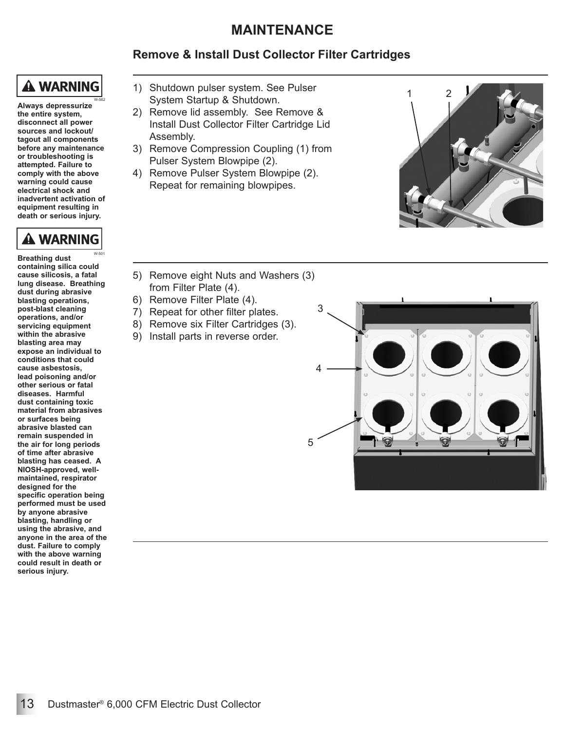### **Remove & Install Dust Collector Filter Cartridges**

## **A WARNING**

**Always depressurize the entire system, disconnect all power sources and lockout/ tagout all components before any maintenance or troubleshooting is attempted. Failure to comply with the above warning could cause electrical shock and inadvertent activation of equipment resulting in death or serious injury.** W-562



**Breathing dust containing silica could cause silicosis, a fatal lung disease. Breathing dust during abrasive blasting operations, post-blast cleaning operations, and/or servicing equipment within the abrasive blasting area may expose an individual to conditions that could cause asbestosis, lead poisoning and/or other serious or fatal diseases. Harmful dust containing toxic material from abrasives or surfaces being abrasive blasted can remain suspended in the air for long periods of time after abrasive blasting has ceased. A NIOSH-approved, wellmaintained, respirator designed for the specific operation being performed must be used by anyone abrasive blasting, handling or using the abrasive, and anyone in the area of the dust. Failure to comply with the above warning could result in death or serious injury.** W-501

- 1) Shutdown pulser system. See Pulser System Startup & Shutdown.
- 2) Remove lid assembly. See Remove & Install Dust Collector Filter Cartridge Lid Assembly.
- 3) Remove Compression Coupling (1) from Pulser System Blowpipe (2).
- 4) Remove Pulser System Blowpipe (2). Repeat for remaining blowpipes.



- 5) Remove eight Nuts and Washers (3) from Filter Plate (4).
- 6) Remove Filter Plate (4).
- 7) Repeat for other filter plates.
- 8) Remove six Filter Cartridges (3).
- 9) Install parts in reverse order.

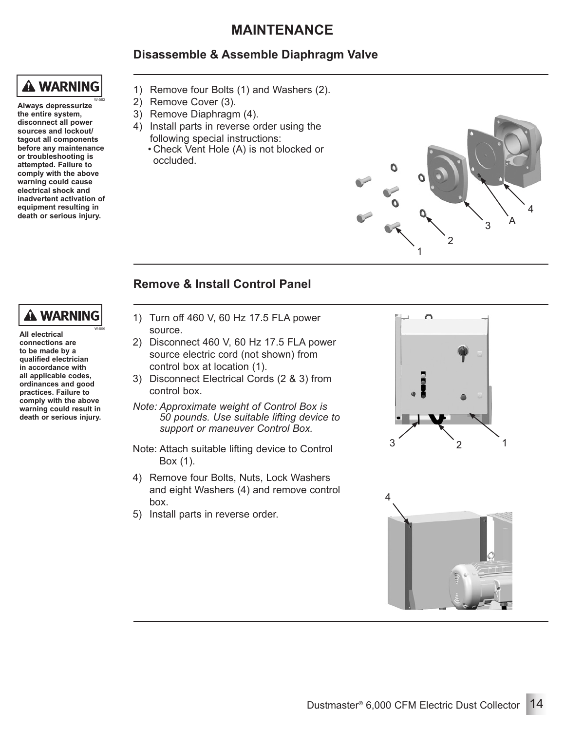#### **Disassemble & Assemble Diaphragm Valve**

## **A WARNING**

**Always depressurize the entire system, disconnect all power sources and lockout/ tagout all components before any maintenance or troubleshooting is attempted. Failure to comply with the above warning could cause electrical shock and inadvertent activation of equipment resulting in death or serious injury.** W-562

- 1) Remove four Bolts (1) and Washers (2).
- 2) Remove Cover (3).
- 3) Remove Diaphragm (4).
- 4) Install parts in reverse order using the following special instructions:
	- Check Vent Hole (A) is not blocked or occluded.



#### **Remove & Install Control Panel**

### **A WARNING**

W-556

**All electrical connections are to be made by a qualified electrician in accordance with all applicable codes, ordinances and good practices. Failure to comply with the above warning could result in death or serious injury.**

- 1) Turn off 460 V, 60 Hz 17.5 FLA power source.
- 2) Disconnect 460 V, 60 Hz 17.5 FLA power source electric cord (not shown) from control box at location (1).
- 3) Disconnect Electrical Cords (2 & 3) from control box.
- *Note: Approximate weight of Control Box is 50 pounds. Use suitable lifting device to support or maneuver Control Box.*
- Note: Attach suitable lifting device to Control Box (1).
- 4) Remove four Bolts, Nuts, Lock Washers and eight Washers (4) and remove control box.
- 5) Install parts in reverse order.



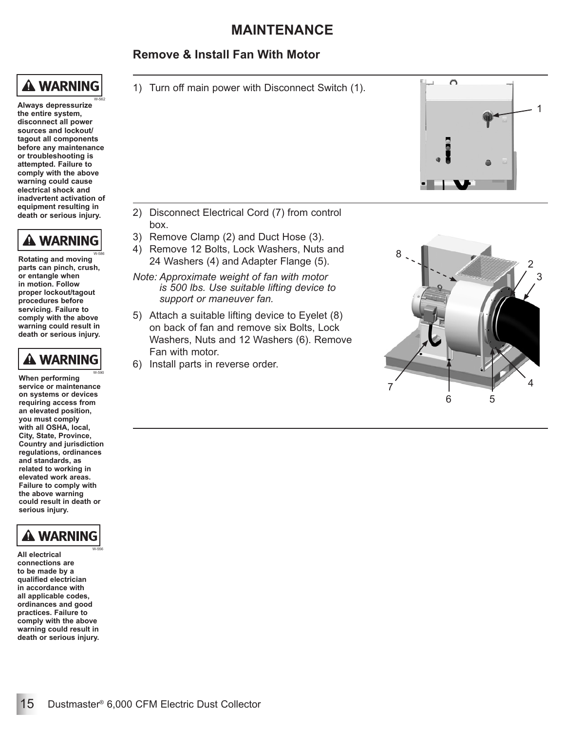#### **Remove & Install Fan With Motor**

## **A WARNING**

W-562

**Always depressurize the entire system, disconnect all power sources and lockout/ tagout all components before any maintenance or troubleshooting is attempted. Failure to comply with the above warning could cause electrical shock and inadvertent activation of equipment resulting in death or serious injury.**



**Rotating and moving parts can pinch, crush, or entangle when in motion. Follow proper lockout/tagout procedures before servicing. Failure to comply with the above warning could result in death or serious injury.** W-586



**When performing service or maintenance on systems or devices requiring access from an elevated position, you must comply with all OSHA, local, City, State, Province, Country and jurisdiction regulations, ordinances and standards, as related to working in elevated work areas. Failure to comply with the above warning could result in death or serious injury.** W-590



**All electrical connections are to be made by a qualified electrician in accordance with all applicable codes, ordinances and good practices. Failure to comply with the above warning could result in death or serious injury.** W-556





- 2) Disconnect Electrical Cord (7) from control box.
- 3) Remove Clamp (2) and Duct Hose (3).
- 4) Remove 12 Bolts, Lock Washers, Nuts and 24 Washers (4) and Adapter Flange (5).
- *Note: Approximate weight of fan with motor is 500 lbs. Use suitable lifting device to support or maneuver fan.*
- 5) Attach a suitable lifting device to Eyelet (8) on back of fan and remove six Bolts, Lock Washers, Nuts and 12 Washers (6). Remove Fan with motor.
- 6) Install parts in reverse order.

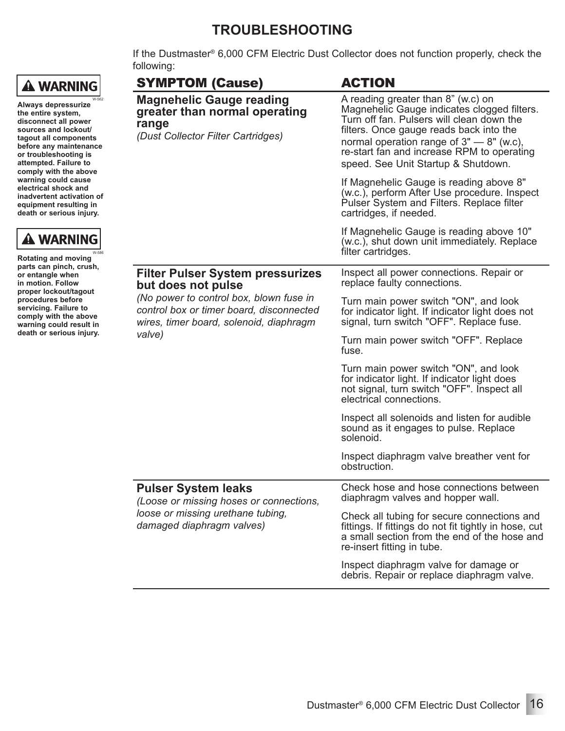### **TROUBLESHOOTING**

If the Dustmaster® 6,000 CFM Electric Dust Collector does not function properly, check the following:

| <b>SYMPTOM (Cause)</b>                                                                                                                   | <b>ACTION</b>                                                                                                                                                                                                                                                                                                  |
|------------------------------------------------------------------------------------------------------------------------------------------|----------------------------------------------------------------------------------------------------------------------------------------------------------------------------------------------------------------------------------------------------------------------------------------------------------------|
| <b>Magnehelic Gauge reading</b><br>greater than normal operating<br>range<br>(Dust Collector Filter Cartridges)                          | A reading greater than 8" (w.c) on<br>Magnehelic Gauge indicates clogged filters.<br>Turn off fan. Pulsers will clean down the<br>filters. Once gauge reads back into the<br>normal operation range of $3"$ – $8"$ (w.c),<br>re-start fan and increase RPM to operating<br>speed. See Unit Startup & Shutdown. |
|                                                                                                                                          | If Magnehelic Gauge is reading above 8"<br>(w.c.), perform After Use procedure. Inspect<br>Pulser System and Filters. Replace filter<br>cartridges, if needed.                                                                                                                                                 |
|                                                                                                                                          | If Magnehelic Gauge is reading above 10"<br>(w.c.), shut down unit immediately. Replace<br>filter cartridges.                                                                                                                                                                                                  |
| <b>Filter Pulser System pressurizes</b><br>but does not pulse                                                                            | Inspect all power connections. Repair or<br>replace faulty connections.                                                                                                                                                                                                                                        |
| (No power to control box, blown fuse in<br>control box or timer board, disconnected<br>wires, timer board, solenoid, diaphragm<br>valve) | Turn main power switch "ON", and look<br>for indicator light. If indicator light does not<br>signal, turn switch "OFF". Replace fuse.                                                                                                                                                                          |
|                                                                                                                                          | Turn main power switch "OFF". Replace<br>fuse.                                                                                                                                                                                                                                                                 |
|                                                                                                                                          | Turn main power switch "ON", and look<br>for indicator light. If indicator light does<br>not signal, turn switch "OFF". Inspect all<br>electrical connections.                                                                                                                                                 |
|                                                                                                                                          | Inspect all solenoids and listen for audible<br>sound as it engages to pulse. Replace<br>solenoid.                                                                                                                                                                                                             |
|                                                                                                                                          | Inspect diaphragm valve breather vent for<br>obstruction.                                                                                                                                                                                                                                                      |
| <b>Pulser System leaks</b><br>(Loose or missing hoses or connections,<br>loose or missing urethane tubing,<br>damaged diaphragm valves)  | Check hose and hose connections between<br>diaphragm valves and hopper wall.                                                                                                                                                                                                                                   |
|                                                                                                                                          | Check all tubing for secure connections and<br>fittings. If fittings do not fit tightly in hose, cut<br>a small section from the end of the hose and<br>re-insert fitting in tube.                                                                                                                             |
|                                                                                                                                          | Inspect diaphragm valve for damage or<br>debris. Repair or replace diaphragm valve.                                                                                                                                                                                                                            |

W-562

W-586

**Always depressurize the entire system, disconnect all power sources and lockout/ tagout all components before any maintenance or troubleshooting is attempted. Failure to comply with the above warning could cause electrical shock and inadvertent activation of equipment resulting in death or serious injury.**

**Rotating and moving parts can pinch, crush, or entangle when in motion. Follow proper lockout/tagout procedures before servicing. Failure to comply with the above warning could result in death or serious injury.**

**A WARNING**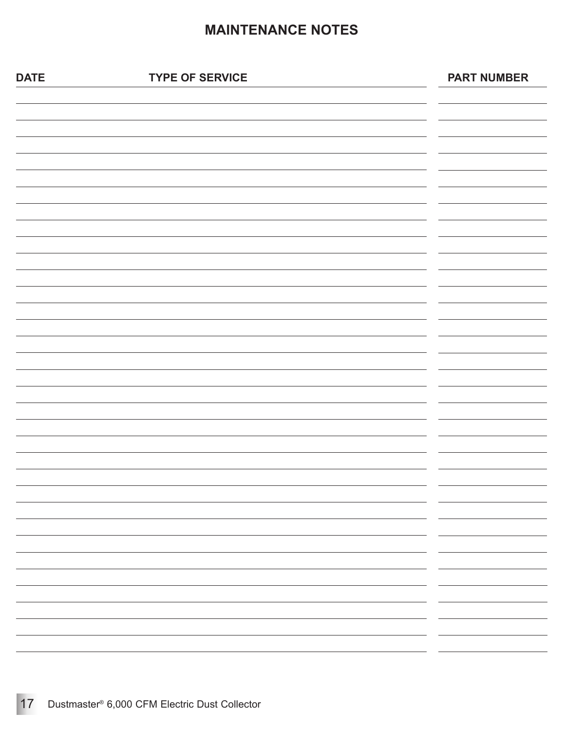### **MAINTENANCE NOTES**

| <b>DATE</b> | <b>TYPE OF SERVICE</b> | <b>PART NUMBER</b>                                                                                                              |
|-------------|------------------------|---------------------------------------------------------------------------------------------------------------------------------|
|             |                        |                                                                                                                                 |
|             |                        |                                                                                                                                 |
|             |                        |                                                                                                                                 |
|             |                        |                                                                                                                                 |
|             |                        |                                                                                                                                 |
|             |                        |                                                                                                                                 |
|             |                        |                                                                                                                                 |
|             |                        |                                                                                                                                 |
|             |                        |                                                                                                                                 |
|             |                        |                                                                                                                                 |
|             |                        |                                                                                                                                 |
|             |                        |                                                                                                                                 |
|             |                        |                                                                                                                                 |
|             |                        |                                                                                                                                 |
|             |                        |                                                                                                                                 |
|             |                        |                                                                                                                                 |
|             |                        | $\overline{\phantom{0}}$<br>— —                                                                                                 |
|             |                        | $\overline{\phantom{a}}$ $\overline{\phantom{a}}$ $\overline{\phantom{a}}$ $\overline{\phantom{a}}$                             |
|             |                        | $\overline{\phantom{a}}$ $\overline{\phantom{a}}$ $\overline{\phantom{a}}$ $\overline{\phantom{a}}$<br>$\overline{\phantom{0}}$ |
|             |                        | $\overline{\phantom{0}}$                                                                                                        |
|             |                        | $\overbrace{\hspace{27mm}}$<br>$\overline{\phantom{a}}$                                                                         |
|             |                        | $\overline{\phantom{a}}$                                                                                                        |
|             |                        | ——————<br>$\overline{\phantom{0}}$<br>$\overline{\phantom{0}}$                                                                  |
|             |                        | $\overline{\phantom{0}}$                                                                                                        |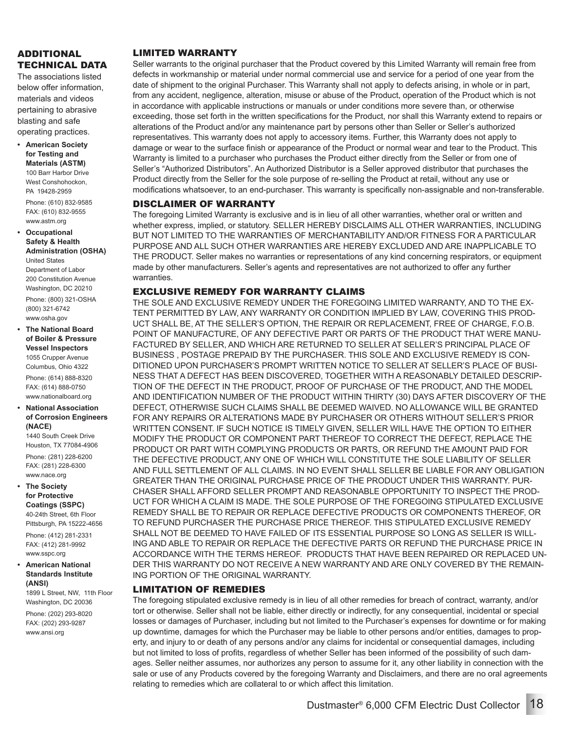#### ADDITIONAL TECHNICAL DATA

The associations listed below offer information, materials and videos pertaining to abrasive blasting and safe operating practices.

**• American Society for Testing and Materials (ASTM)** 100 Barr Harbor Drive West Conshohockon PA 19428-2959 Phone: (610) 832-9585 FAX: (610) 832-9555

www.astm.org **• Occupational Safety & Health Administration (OSHA)** United States Department of Labor 200 Constitution Avenue Washington, DC 20210 Phone: (800) 321-OSHA (800) 321-6742 www.osha.gov

**• The National Board of Boiler & Pressure Vessel Inspectors** 1055 Crupper Avenue Columbus, Ohio 4322

Phone: (614) 888-8320 FAX: (614) 888-0750 www.nationalboard.org

**• National Association of Corrosion Engineers (NACE)**

1440 South Creek Drive Houston, TX 77084-4906 Phone: (281) 228-6200 FAX: (281) 228-6300 www.nace.org

**• The Society for Protective Coatings (SSPC)** 40-24th Street, 6th Floor

Pittsburgh, PA 15222-4656

Phone: (412) 281-2331 FAX: (412) 281-9992 www.sspc.org

**• American National Standards Institute (ANSI)**

1899 L Street, NW, 11th Floor Washington, DC 20036

Phone: (202) 293-8020 FAX: (202) 293-9287 www.ansi.org

#### LIMITED WARRANTY

Seller warrants to the original purchaser that the Product covered by this Limited Warranty will remain free from defects in workmanship or material under normal commercial use and service for a period of one year from the date of shipment to the original Purchaser. This Warranty shall not apply to defects arising, in whole or in part, from any accident, negligence, alteration, misuse or abuse of the Product, operation of the Product which is not in accordance with applicable instructions or manuals or under conditions more severe than, or otherwise exceeding, those set forth in the written specifications for the Product, nor shall this Warranty extend to repairs or alterations of the Product and/or any maintenance part by persons other than Seller or Seller's authorized representatives. This warranty does not apply to accessory items. Further, this Warranty does not apply to damage or wear to the surface finish or appearance of the Product or normal wear and tear to the Product. This Warranty is limited to a purchaser who purchases the Product either directly from the Seller or from one of Seller's "Authorized Distributors". An Authorized Distributor is a Seller approved distributor that purchases the Product directly from the Seller for the sole purpose of re-selling the Product at retail, without any use or modifications whatsoever, to an end-purchaser. This warranty is specifically non-assignable and non-transferable.

#### DISCLAIMER OF WARRANTY

The foregoing Limited Warranty is exclusive and is in lieu of all other warranties, whether oral or written and whether express, implied, or statutory. SELLER HEREBY DISCLAIMS ALL OTHER WARRANTIES, INCLUDING BUT NOT LIMITED TO THE WARRANTIES OF MERCHANTABILITY AND/OR FITNESS FOR A PARTICULAR PURPOSE AND ALL SUCH OTHER WARRANTIES ARE HEREBY EXCLUDED AND ARE INAPPLICABLE TO THE PRODUCT. Seller makes no warranties or representations of any kind concerning respirators, or equipment made by other manufacturers. Seller's agents and representatives are not authorized to offer any further warranties.

#### EXCLUSIVE REMEDY FOR WARRANTY CLAIMS

THE SOLE AND EXCLUSIVE REMEDY UNDER THE FOREGOING LIMITED WARRANTY, AND TO THE EX-TENT PERMITTED BY LAW, ANY WARRANTY OR CONDITION IMPLIED BY LAW, COVERING THIS PROD-UCT SHALL BE, AT THE SELLER'S OPTION, THE REPAIR OR REPLACEMENT, FREE OF CHARGE, F.O.B. POINT OF MANUFACTURE, OF ANY DEFECTIVE PART OR PARTS OF THE PRODUCT THAT WERE MANU-FACTURED BY SELLER, AND WHICH ARE RETURNED TO SELLER AT SELLER'S PRINCIPAL PLACE OF BUSINESS , POSTAGE PREPAID BY THE PURCHASER. THIS SOLE AND EXCLUSIVE REMEDY IS CON-DITIONED UPON PURCHASER'S PROMPT WRITTEN NOTICE TO SELLER AT SELLER'S PLACE OF BUSI-NESS THAT A DEFECT HAS BEEN DISCOVERED, TOGETHER WITH A REASONABLY DETAILED DESCRIP-TION OF THE DEFECT IN THE PRODUCT, PROOF OF PURCHASE OF THE PRODUCT, AND THE MODEL AND IDENTIFICATION NUMBER OF THE PRODUCT WITHIN THIRTY (30) DAYS AFTER DISCOVERY OF THE DEFECT, OTHERWISE SUCH CLAIMS SHALL BE DEEMED WAIVED. NO ALLOWANCE WILL BE GRANTED FOR ANY REPAIRS OR ALTERATIONS MADE BY PURCHASER OR OTHERS WITHOUT SELLER'S PRIOR WRITTEN CONSENT. IF SUCH NOTICE IS TIMELY GIVEN, SELLER WILL HAVE THE OPTION TO EITHER MODIFY THE PRODUCT OR COMPONENT PART THEREOF TO CORRECT THE DEFECT, REPLACE THE PRODUCT OR PART WITH COMPLYING PRODUCTS OR PARTS, OR REFUND THE AMOUNT PAID FOR THE DEFECTIVE PRODUCT, ANY ONE OF WHICH WILL CONSTITUTE THE SOLE LIABILITY OF SELLER AND FULL SETTLEMENT OF ALL CLAIMS. IN NO EVENT SHALL SELLER BE LIABLE FOR ANY OBLIGATION GREATER THAN THE ORIGINAL PURCHASE PRICE OF THE PRODUCT UNDER THIS WARRANTY. PUR-CHASER SHALL AFFORD SELLER PROMPT AND REASONABLE OPPORTUNITY TO INSPECT THE PROD-UCT FOR WHICH A CLAIM IS MADE. THE SOLE PURPOSE OF THE FOREGOING STIPULATED EXCLUSIVE REMEDY SHALL BE TO REPAIR OR REPLACE DEFECTIVE PRODUCTS OR COMPONENTS THEREOF, OR TO REFUND PURCHASER THE PURCHASE PRICE THEREOF. THIS STIPULATED EXCLUSIVE REMEDY SHALL NOT BE DEEMED TO HAVE FAILED OF ITS ESSENTIAL PURPOSE SO LONG AS SELLER IS WILL-ING AND ABLE TO REPAIR OR REPLACE THE DEFECTIVE PARTS OR REFUND THE PURCHASE PRICE IN ACCORDANCE WITH THE TERMS HEREOF. PRODUCTS THAT HAVE BEEN REPAIRED OR REPLACED UN-DER THIS WARRANTY DO NOT RECEIVE A NEW WARRANTY AND ARE ONLY COVERED BY THE REMAIN-ING PORTION OF THE ORIGINAL WARRANTY.

#### LIMITATION OF REMEDIES

The foregoing stipulated exclusive remedy is in lieu of all other remedies for breach of contract, warranty, and/or tort or otherwise. Seller shall not be liable, either directly or indirectly, for any consequential, incidental or special losses or damages of Purchaser, including but not limited to the Purchaser's expenses for downtime or for making up downtime, damages for which the Purchaser may be liable to other persons and/or entities, damages to property, and injury to or death of any persons and/or any claims for incidental or consequential damages, including but not limited to loss of profits, regardless of whether Seller has been informed of the possibility of such damages. Seller neither assumes, nor authorizes any person to assume for it, any other liability in connection with the sale or use of any Products covered by the foregoing Warranty and Disclaimers, and there are no oral agreements relating to remedies which are collateral to or which affect this limitation.